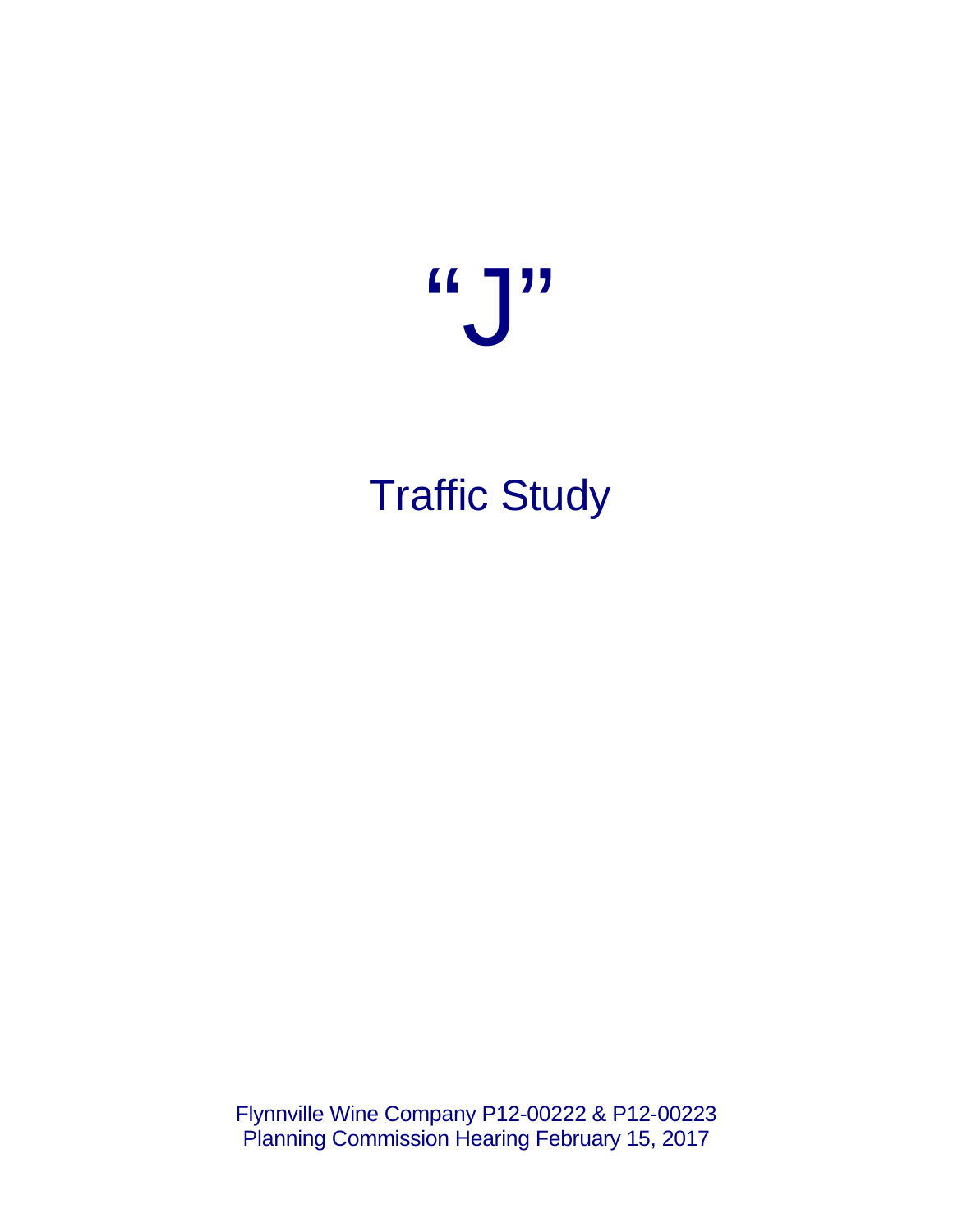

# Traffic Study

Flynnville Wine Company P12-00222 & P12-00223 Planning Commission Hearing February 15, 2017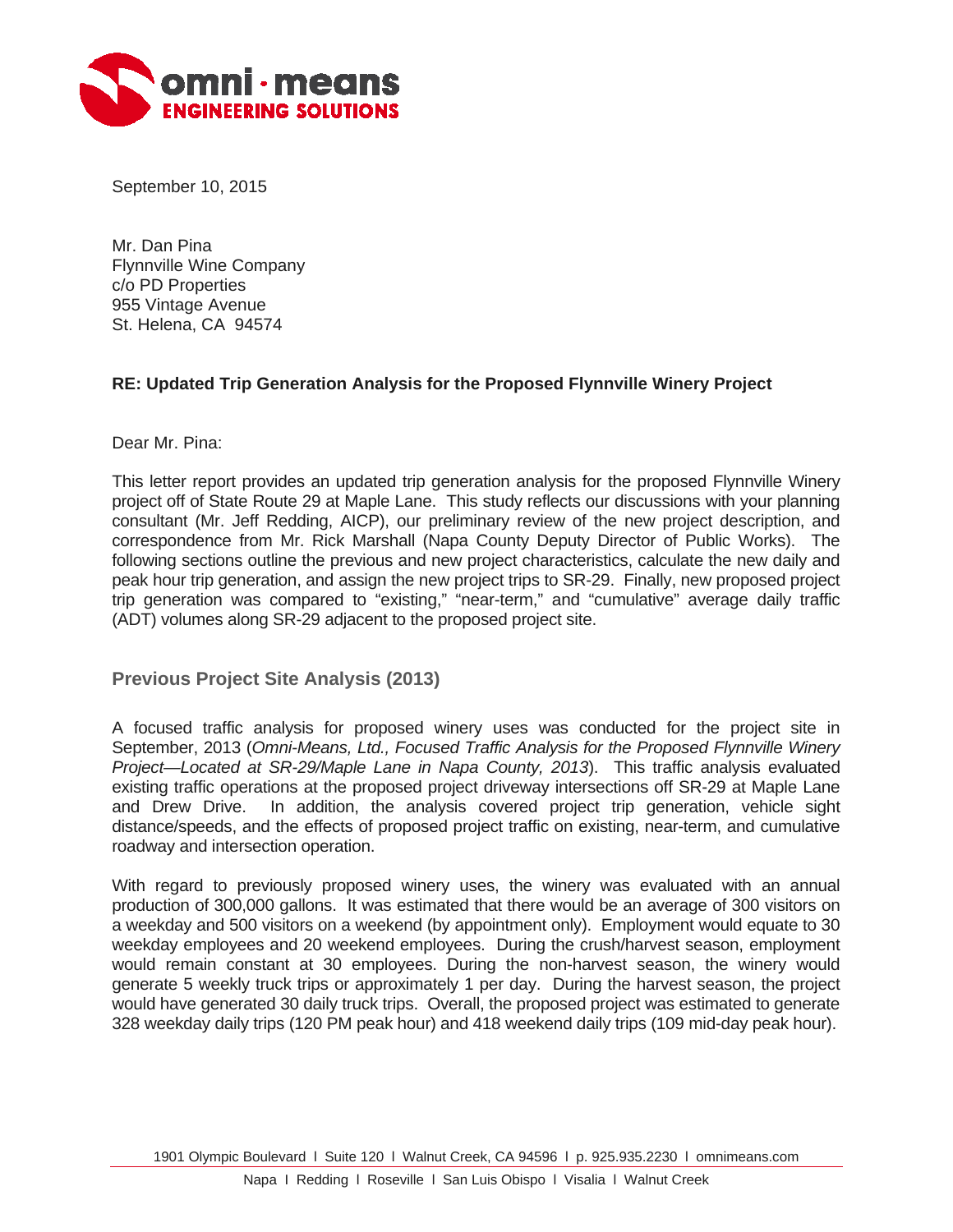

September 10, 2015

Mr. Dan Pina Flynnville Wine Company c/o PD Properties 955 Vintage Avenue St. Helena, CA 94574

# **RE: Updated Trip Generation Analysis for the Proposed Flynnville Winery Project**

Dear Mr. Pina:

This letter report provides an updated trip generation analysis for the proposed Flynnville Winery project off of State Route 29 at Maple Lane. This study reflects our discussions with your planning consultant (Mr. Jeff Redding, AICP), our preliminary review of the new project description, and correspondence from Mr. Rick Marshall (Napa County Deputy Director of Public Works). The following sections outline the previous and new project characteristics, calculate the new daily and peak hour trip generation, and assign the new project trips to SR-29. Finally, new proposed project trip generation was compared to "existing," "near-term," and "cumulative" average daily traffic (ADT) volumes along SR-29 adjacent to the proposed project site.

**Previous Project Site Analysis (2013)** 

A focused traffic analysis for proposed winery uses was conducted for the project site in September, 2013 (*Omni-Means, Ltd., Focused Traffic Analysis for the Proposed Flynnville Winery Project—Located at SR-29/Maple Lane in Napa County, 2013*). This traffic analysis evaluated existing traffic operations at the proposed project driveway intersections off SR-29 at Maple Lane and Drew Drive. In addition, the analysis covered project trip generation, vehicle sight distance/speeds, and the effects of proposed project traffic on existing, near-term, and cumulative roadway and intersection operation.

With regard to previously proposed winery uses, the winery was evaluated with an annual production of 300,000 gallons. It was estimated that there would be an average of 300 visitors on a weekday and 500 visitors on a weekend (by appointment only). Employment would equate to 30 weekday employees and 20 weekend employees. During the crush/harvest season, employment would remain constant at 30 employees. During the non-harvest season, the winery would generate 5 weekly truck trips or approximately 1 per day. During the harvest season, the project would have generated 30 daily truck trips. Overall, the proposed project was estimated to generate 328 weekday daily trips (120 PM peak hour) and 418 weekend daily trips (109 mid-day peak hour).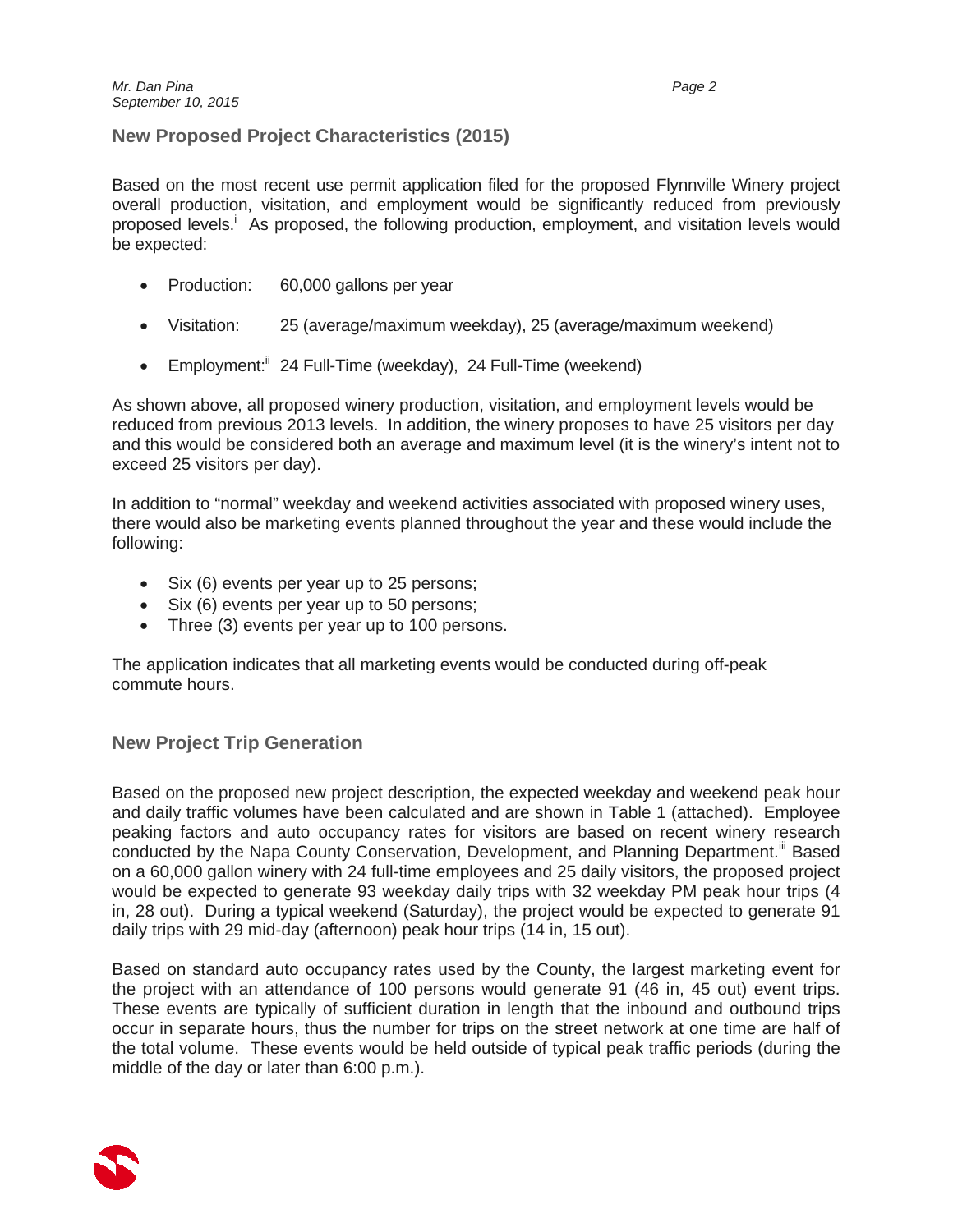# **New Proposed Project Characteristics (2015)**

Based on the most recent use permit application filed for the proposed Flynnville Winery project overall production, visitation, and employment would be significantly reduced from previously proposed levels.<sup>i</sup> As proposed, the following production, employment, and visitation levels would be expected:

- Production: 60,000 gallons per year
- Visitation: 25 (average/maximum weekday), 25 (average/maximum weekend)
- **Employment:**<sup>ii</sup> 24 Full-Time (weekday), 24 Full-Time (weekend)

As shown above, all proposed winery production, visitation, and employment levels would be reduced from previous 2013 levels. In addition, the winery proposes to have 25 visitors per day and this would be considered both an average and maximum level (it is the winery's intent not to exceed 25 visitors per day).

In addition to "normal" weekday and weekend activities associated with proposed winery uses, there would also be marketing events planned throughout the year and these would include the following:

- Six (6) events per year up to 25 persons;
- Six (6) events per year up to 50 persons;
- Three (3) events per year up to 100 persons.

The application indicates that all marketing events would be conducted during off-peak commute hours.

# **New Project Trip Generation**

Based on the proposed new project description, the expected weekday and weekend peak hour and daily traffic volumes have been calculated and are shown in Table 1 (attached). Employee peaking factors and auto occupancy rates for visitors are based on recent winery research conducted by the Napa County Conservation, Development, and Planning Department.<sup>iii</sup> Based on a 60,000 gallon winery with 24 full-time employees and 25 daily visitors, the proposed project would be expected to generate 93 weekday daily trips with 32 weekday PM peak hour trips (4 in, 28 out). During a typical weekend (Saturday), the project would be expected to generate 91 daily trips with 29 mid-day (afternoon) peak hour trips (14 in, 15 out).

Based on standard auto occupancy rates used by the County, the largest marketing event for the project with an attendance of 100 persons would generate 91 (46 in, 45 out) event trips. These events are typically of sufficient duration in length that the inbound and outbound trips occur in separate hours, thus the number for trips on the street network at one time are half of the total volume. These events would be held outside of typical peak traffic periods (during the middle of the day or later than 6:00 p.m.).

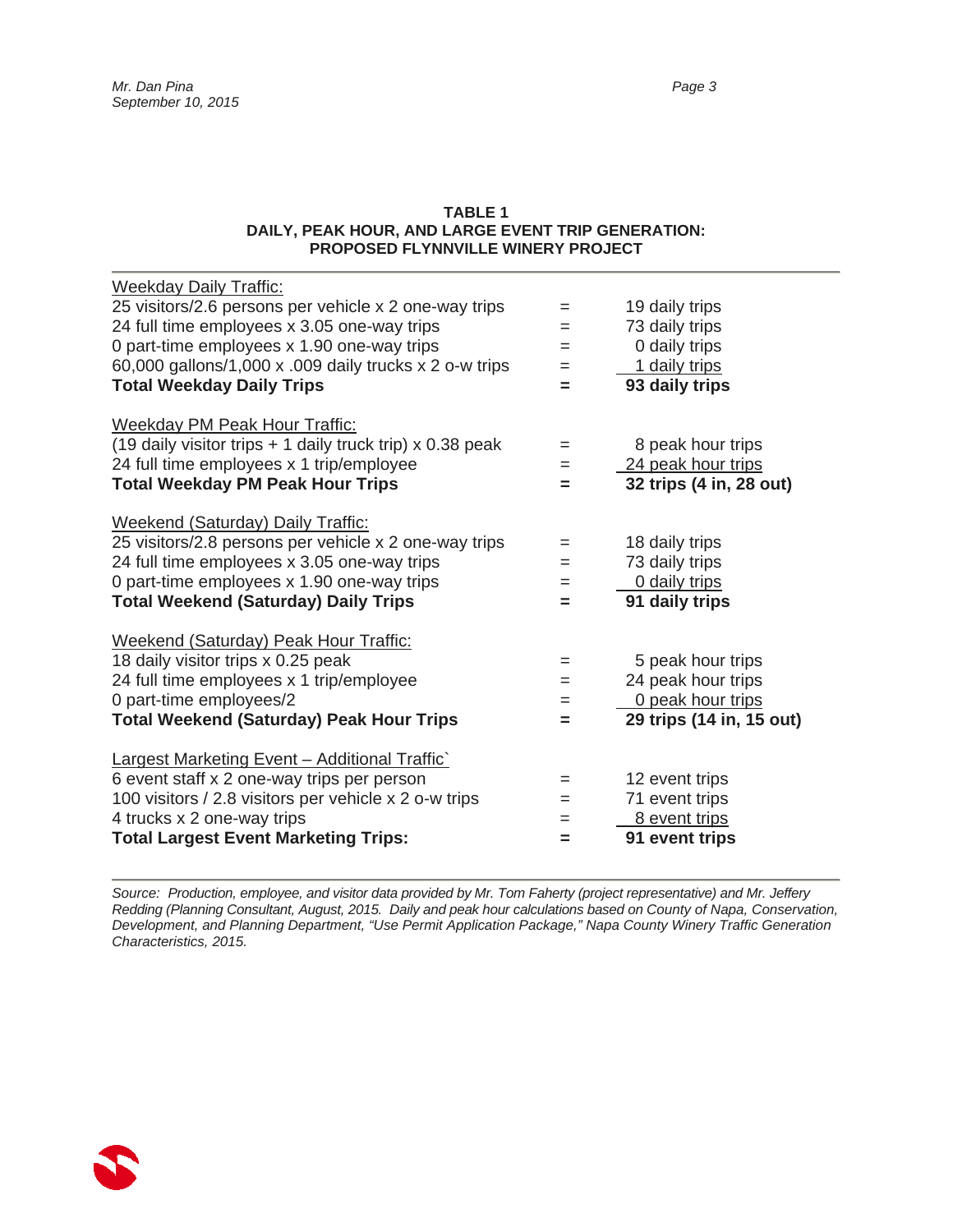#### **TABLE 1 DAILY, PEAK HOUR, AND LARGE EVENT TRIP GENERATION: PROPOSED FLYNNVILLE WINERY PROJECT**

| <b>Weekday Daily Traffic:</b>                             |     |                          |
|-----------------------------------------------------------|-----|--------------------------|
| 25 visitors/2.6 persons per vehicle x 2 one-way trips     | $=$ | 19 daily trips           |
| 24 full time employees x 3.05 one-way trips               | $=$ | 73 daily trips           |
| 0 part-time employees x 1.90 one-way trips                | =   | 0 daily trips            |
| 60,000 gallons/1,000 x .009 daily trucks x 2 o-w trips    | $=$ | 1 daily trips            |
| <b>Total Weekday Daily Trips</b>                          | $=$ | 93 daily trips           |
| <b>Weekday PM Peak Hour Traffic:</b>                      |     |                          |
| (19 daily visitor trips + 1 daily truck trip) x 0.38 peak | $=$ | 8 peak hour trips        |
| 24 full time employees x 1 trip/employee                  | $=$ | 24 peak hour trips       |
| <b>Total Weekday PM Peak Hour Trips</b>                   | $=$ | 32 trips (4 in, 28 out)  |
| <b>Weekend (Saturday) Daily Traffic:</b>                  |     |                          |
| 25 visitors/2.8 persons per vehicle x 2 one-way trips     | $=$ | 18 daily trips           |
| 24 full time employees x 3.05 one-way trips               | $=$ | 73 daily trips           |
| 0 part-time employees x 1.90 one-way trips                | $=$ | 0 daily trips            |
| <b>Total Weekend (Saturday) Daily Trips</b>               | $=$ | 91 daily trips           |
| Weekend (Saturday) Peak Hour Traffic:                     |     |                          |
| 18 daily visitor trips x 0.25 peak                        | =   | 5 peak hour trips        |
| 24 full time employees x 1 trip/employee                  | $=$ | 24 peak hour trips       |
| 0 part-time employees/2                                   | $=$ | 0 peak hour trips        |
| Total Weekend (Saturday) Peak Hour Trips                  | =   | 29 trips (14 in, 15 out) |
| <b>Largest Marketing Event - Additional Traffic</b>       |     |                          |
| 6 event staff x 2 one-way trips per person                | $=$ | 12 event trips           |
| 100 visitors / 2.8 visitors per vehicle x 2 o-w trips     | $=$ | 71 event trips           |
| 4 trucks x 2 one-way trips                                | $=$ | 8 event trips            |
| <b>Total Largest Event Marketing Trips:</b>               | =   | 91 event trips           |

*Source: Production, employee, and visitor data provided by Mr. Tom Faherty (project representative) and Mr. Jeffery Redding (Planning Consultant, August, 2015. Daily and peak hour calculations based on County of Napa, Conservation, Development, and Planning Department, "Use Permit Application Package," Napa County Winery Traffic Generation Characteristics, 2015.* 

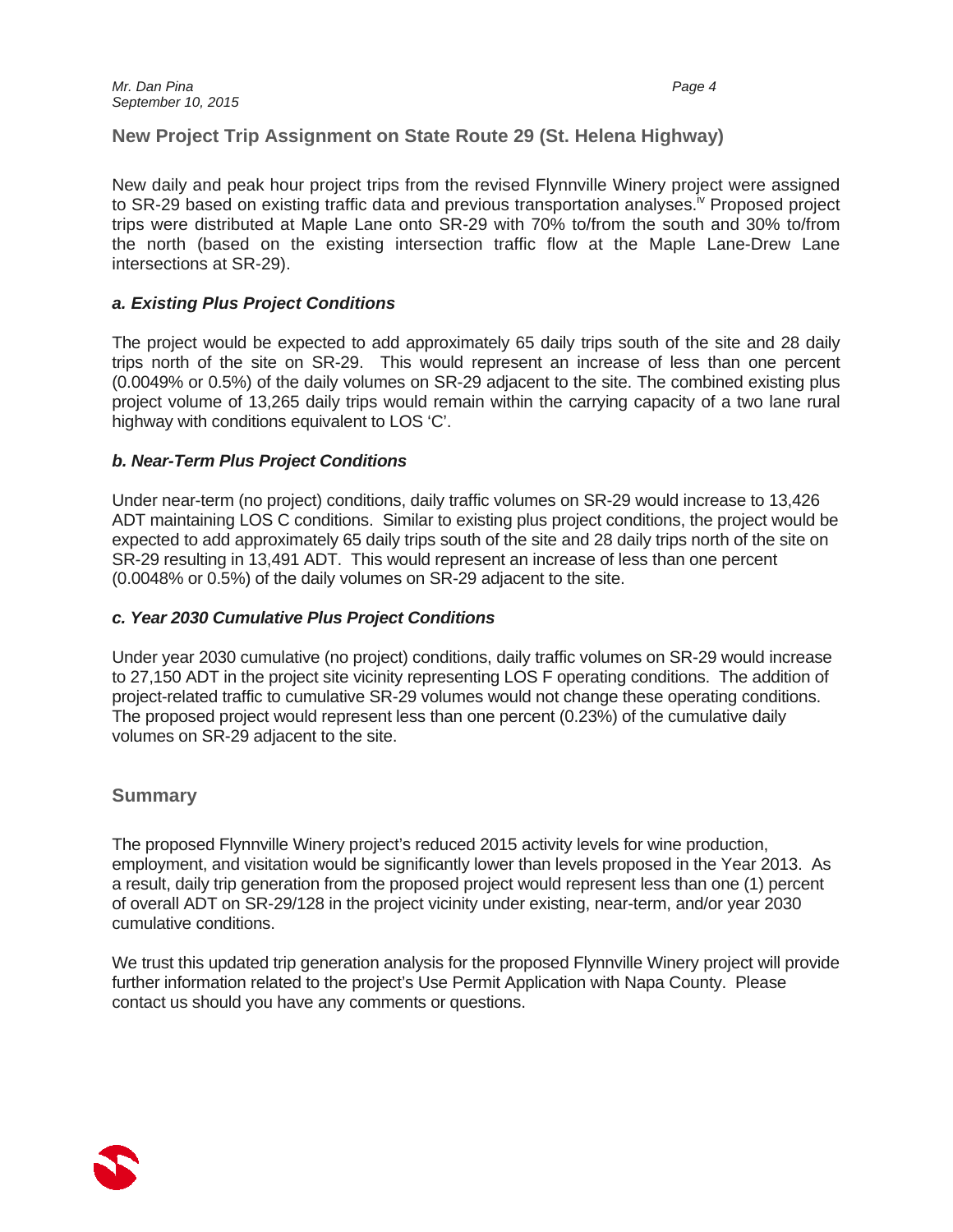# **New Project Trip Assignment on State Route 29 (St. Helena Highway)**

New daily and peak hour project trips from the revised Flynnville Winery project were assigned to SR-29 based on existing traffic data and previous transportation analyses.<sup>iv</sup> Proposed project trips were distributed at Maple Lane onto SR-29 with 70% to/from the south and 30% to/from the north (based on the existing intersection traffic flow at the Maple Lane-Drew Lane intersections at SR-29).

## *a. Existing Plus Project Conditions*

The project would be expected to add approximately 65 daily trips south of the site and 28 daily trips north of the site on SR-29. This would represent an increase of less than one percent (0.0049% or 0.5%) of the daily volumes on SR-29 adjacent to the site. The combined existing plus project volume of 13,265 daily trips would remain within the carrying capacity of a two lane rural highway with conditions equivalent to LOS 'C'.

## *b. Near-Term Plus Project Conditions*

Under near-term (no project) conditions, daily traffic volumes on SR-29 would increase to 13,426 ADT maintaining LOS C conditions. Similar to existing plus project conditions, the project would be expected to add approximately 65 daily trips south of the site and 28 daily trips north of the site on SR-29 resulting in 13,491 ADT. This would represent an increase of less than one percent (0.0048% or 0.5%) of the daily volumes on SR-29 adjacent to the site.

## *c. Year 2030 Cumulative Plus Project Conditions*

Under year 2030 cumulative (no project) conditions, daily traffic volumes on SR-29 would increase to 27,150 ADT in the project site vicinity representing LOS F operating conditions. The addition of project-related traffic to cumulative SR-29 volumes would not change these operating conditions. The proposed project would represent less than one percent (0.23%) of the cumulative daily volumes on SR-29 adjacent to the site.

# **Summary**

The proposed Flynnville Winery project's reduced 2015 activity levels for wine production, employment, and visitation would be significantly lower than levels proposed in the Year 2013. As a result, daily trip generation from the proposed project would represent less than one (1) percent of overall ADT on SR-29/128 in the project vicinity under existing, near-term, and/or year 2030 cumulative conditions.

We trust this updated trip generation analysis for the proposed Flynnville Winery project will provide further information related to the project's Use Permit Application with Napa County. Please contact us should you have any comments or questions.